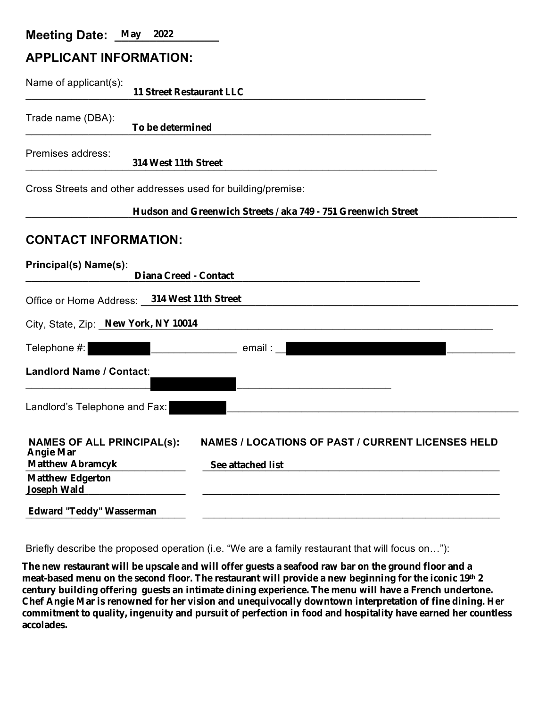### **Meeting Date: May 2022**

## **APPLICANT INFORMATION:**

| Name of applicant(s):                                                                                                         | <b>11 Street Restaurant LLC</b>                                                      |  |  |  |  |
|-------------------------------------------------------------------------------------------------------------------------------|--------------------------------------------------------------------------------------|--|--|--|--|
| Trade name (DBA):                                                                                                             | To be determined                                                                     |  |  |  |  |
| Premises address:                                                                                                             | 314 West 11th Street                                                                 |  |  |  |  |
| Cross Streets and other addresses used for building/premise:<br>Hudson and Greenwich Streets / aka 749 - 751 Greenwich Street |                                                                                      |  |  |  |  |
| <b>CONTACT INFORMATION:</b>                                                                                                   |                                                                                      |  |  |  |  |
| Principal(s) Name(s):                                                                                                         | <b>Diana Creed - Contact</b>                                                         |  |  |  |  |
|                                                                                                                               | Office or Home Address: 314 West 11th Street                                         |  |  |  |  |
| City, State, Zip: New York, NY 10014                                                                                          |                                                                                      |  |  |  |  |
| Telephone #:                                                                                                                  | email :                                                                              |  |  |  |  |
| <b>Landlord Name / Contact:</b>                                                                                               |                                                                                      |  |  |  |  |
| Landlord's Telephone and Fax:                                                                                                 |                                                                                      |  |  |  |  |
| <b>NAMES OF ALL PRINCIPAL(s):</b><br><b>Angie Mar</b><br><b>Matthew Abramcyk</b>                                              | <b>NAMES / LOCATIONS OF PAST / CURRENT LICENSES HELD</b><br><b>See attached list</b> |  |  |  |  |
| <b>Matthew Edgerton</b><br><b>Joseph Wald</b>                                                                                 |                                                                                      |  |  |  |  |
| <b>Edward "Teddy" Wasserman</b>                                                                                               |                                                                                      |  |  |  |  |

Briefly describe the proposed operation (i.e. "We are a family restaurant that will focus on…"):

**The new restaurant will be upscale and will offer guests a seafood raw bar on the ground floor and a meat-based menu on the second floor. The restaurant will provide a new beginning for the iconic 19th 2 century building offering guests an intimate dining experience. The menu will have a French undertone. Chef Angie Mar is renowned for her vision and unequivocally downtown interpretation of fine dining. Her commitment to quality, ingenuity and pursuit of perfection in food and hospitality have earned her countless accolades.**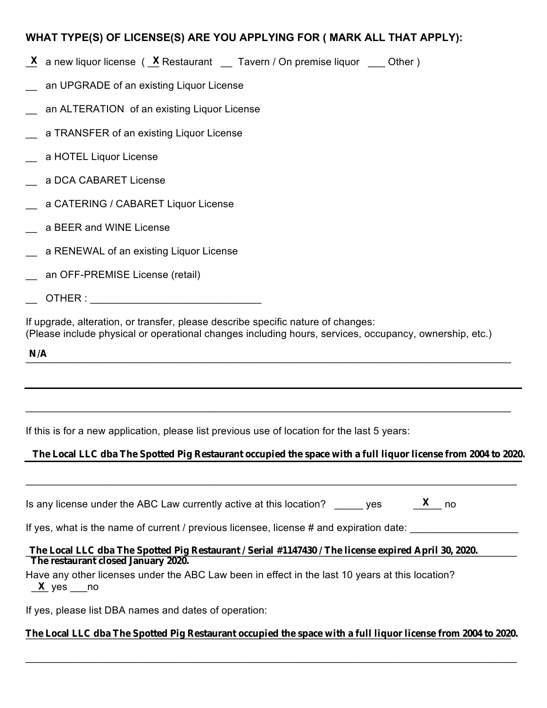### **WHAT TYPE(S) OF LICENSE(S) ARE YOU APPLYING FOR ( MARK ALL THAT APPLY):**

- $\underline{\mathbf{X}}$  a new liquor license ( $\underline{\mathbf{X}}$  Restaurant  $\underline{\phantom{X}}$  Tavern / On premise liquor  $\underline{\phantom{X}}$  Other )
- an UPGRADE of an existing Liquor License
- an ALTERATION of an existing Liquor License
- a TRANSFER of an existing Liquor License
- \_\_ a HOTEL Liquor License
- \_\_ a DCA CABARET License
- \_\_ a CATERING / CABARET Liquor License
- \_\_ a BEER and WINE License
- a RENEWAL of an existing Liquor License
- \_\_ an OFF-PREMISE License (retail)
- $\overline{\text{OTHER}}$  :

If upgrade, alteration, or transfer, please describe specific nature of changes: (Please include physical or operational changes including hours, services, occupancy, ownership, etc.)

 $N/A$ **N/A**

If this is for a new application, please list previous use of location for the last 5 years:

#### **The Local LLC dba The Spotted Pig Restaurant occupied the space with a full liquor license from 2004 to 2020.**

 $\_$ 

 $\_$  , and the set of the set of the set of the set of the set of the set of the set of the set of the set of the set of the set of the set of the set of the set of the set of the set of the set of the set of the set of th

Is any license under the ABC Law currently active at this location? The ves **X**

If yes, what is the name of current / previous licensee, license # and expiration date:

#### \_\_\_\_\_\_\_\_\_\_\_\_\_\_\_\_\_\_\_\_\_\_\_\_\_\_\_\_\_\_\_\_\_\_\_\_\_\_\_\_\_\_\_\_\_\_\_\_\_\_\_\_\_\_\_\_\_\_\_\_\_\_\_\_\_\_\_\_\_\_\_\_\_\_\_\_\_\_\_\_\_\_\_\_\_\_ **The Local LLC dba The Spotted Pig Restaurant / Serial #1147430 / The license expired April 30, 2020. The restaurant closed January 2020.**

Have any other licenses under the ABC Law been in effect in the last 10 years at this location? \_\_\_ yes \_\_\_no **X**

If yes, please list DBA names and dates of operation:

#### \_\_\_\_\_\_\_\_\_\_\_\_\_\_\_\_\_\_\_\_\_\_\_\_\_\_\_\_\_\_\_\_\_\_\_\_\_\_\_\_\_\_\_\_\_\_\_\_\_\_\_\_\_\_\_\_\_\_\_\_\_\_\_\_\_\_\_\_\_\_\_\_\_\_\_\_\_\_\_\_\_\_\_\_\_ **The Local LLC dba The Spotted Pig Restaurant occupied the space with a full liquor license from 2004 to 2020.**

 $\_$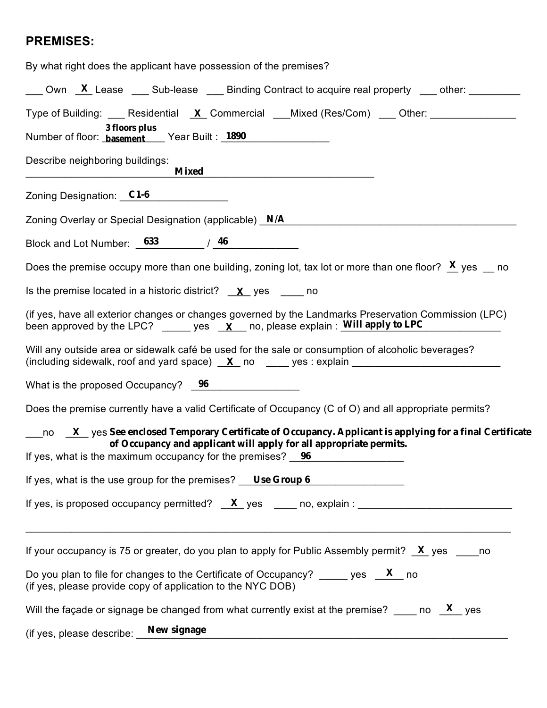# **PREMISES:**

| By what right does the applicant have possession of the premises?                                                                                                                                                                                                                                                                                 |  |  |  |  |
|---------------------------------------------------------------------------------------------------------------------------------------------------------------------------------------------------------------------------------------------------------------------------------------------------------------------------------------------------|--|--|--|--|
| $\underline{\hspace{1cm}}$ Own $\underline{\hspace{1cm}}$ Lease $\underline{\hspace{1cm}}$ Sub-lease $\underline{\hspace{1cm}}$ Binding Contract to acquire real property $\underline{\hspace{1cm}}$ other:                                                                                                                                       |  |  |  |  |
| Type of Building: ____ Residential X Commercial ___Mixed (Res/Com) ___ Other: _____________<br>3 floors plus<br>Number of floor: <b>basement</b> Year Built: 1890                                                                                                                                                                                 |  |  |  |  |
| Describe neighboring buildings:<br><b>Mixed</b>                                                                                                                                                                                                                                                                                                   |  |  |  |  |
| Zoning Designation: C1-6                                                                                                                                                                                                                                                                                                                          |  |  |  |  |
| Zoning Overlay or Special Designation (applicable) N/A                                                                                                                                                                                                                                                                                            |  |  |  |  |
| Block and Lot Number: $633$ $/$ 46                                                                                                                                                                                                                                                                                                                |  |  |  |  |
| Does the premise occupy more than one building, zoning lot, tax lot or more than one floor? $X$ yes $\equiv$ no                                                                                                                                                                                                                                   |  |  |  |  |
| Is the premise located in a historic district? $X$ yes _______ no                                                                                                                                                                                                                                                                                 |  |  |  |  |
| (if yes, have all exterior changes or changes governed by the Landmarks Preservation Commission (LPC)<br>been approved by the LPC? ______ yes $\mathbf{X}$ no, please explain: Will apply to LPC<br>Will any outside area or sidewalk café be used for the sale or consumption of alcoholic beverages?                                            |  |  |  |  |
| (including sidewalk, roof and yard space) $X$ no $x$ yes: explain $x$                                                                                                                                                                                                                                                                             |  |  |  |  |
| What is the proposed Occupancy? 96                                                                                                                                                                                                                                                                                                                |  |  |  |  |
| Does the premise currently have a valid Certificate of Occupancy (C of O) and all appropriate permits?                                                                                                                                                                                                                                            |  |  |  |  |
| $\underline{\hspace{1cm}}$ no $\underline{\hspace{1cm}}\underline{\hspace{1cm}}\underline{\hspace{1cm}}$ yes See enclosed Temporary Certificate of Occupancy. Applicant is applying for a final Certificate<br>of Occupancy and applicant will apply for all appropriate permits.<br>If yes, what is the maximum occupancy for the premises? $96$ |  |  |  |  |
| If yes, what is the use group for the premises? Use Group 6                                                                                                                                                                                                                                                                                       |  |  |  |  |
|                                                                                                                                                                                                                                                                                                                                                   |  |  |  |  |
| If your occupancy is 75 or greater, do you plan to apply for Public Assembly permit? $X$ yes ______ no                                                                                                                                                                                                                                            |  |  |  |  |
| Do you plan to file for changes to the Certificate of Occupancy? _______ yes $X$ no<br>(if yes, please provide copy of application to the NYC DOB)                                                                                                                                                                                                |  |  |  |  |
| Will the façade or signage be changed from what currently exist at the premise? ______ no $X$ yes                                                                                                                                                                                                                                                 |  |  |  |  |
| (if yes, please describe: New signage                                                                                                                                                                                                                                                                                                             |  |  |  |  |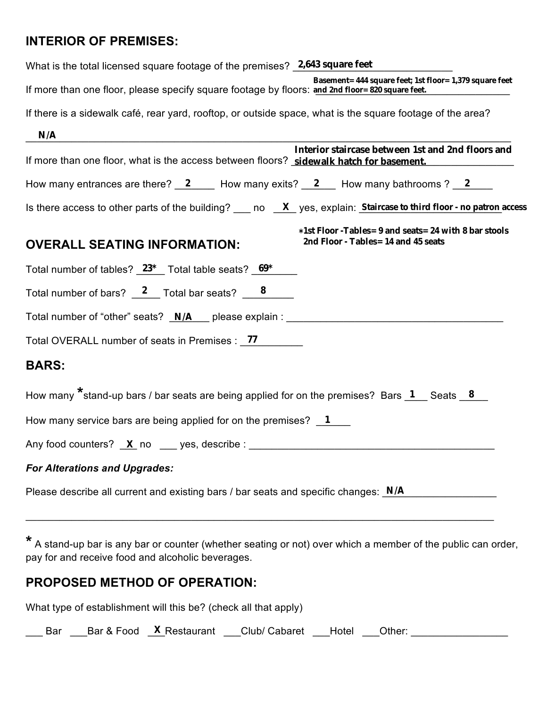# **INTERIOR OF PREMISES:**

| What is the total licensed square footage of the premises? 2,643 square feet                                                                                |
|-------------------------------------------------------------------------------------------------------------------------------------------------------------|
| Basement= 444 square feet; 1st floor= 1,379 square feet<br>If more than one floor, please specify square footage by floors: and 2nd floor= 820 square feet. |
| If there is a sidewalk café, rear yard, rooftop, or outside space, what is the square footage of the area?                                                  |
| N/A                                                                                                                                                         |
| Interior staircase between 1st and 2nd floors and<br>If more than one floor, what is the access between floors? sidewalk hatch for basement.                |
| How many entrances are there? $2 \qquad$ How many exits? $2 \qquad$ How many bathrooms ? $2 \qquad$                                                         |
| Is there access to other parts of the building? ___ no $X$ yes, explain: Staircase to third floor - no patron access                                        |
| *1st Floor -Tables= 9 and seats= 24 with 8 bar stools<br>2nd Floor - Tables= 14 and 45 seats<br><b>OVERALL SEATING INFORMATION:</b>                         |
| Total number of tables? _ 23* _ Total table seats? _ 69*                                                                                                    |
| Total number of bars? $\frac{2}{5}$ Total bar seats? $\frac{8}{5}$                                                                                          |
| Total number of "other" seats? N/A please explain :                                                                                                         |
| Total OVERALL number of seats in Premises : 77                                                                                                              |
| <b>BARS:</b>                                                                                                                                                |
| How many $*$ stand-up bars / bar seats are being applied for on the premises? Bars 1 Seats 8                                                                |
| How many service bars are being applied for on the premises? $\boxed{1}$                                                                                    |
|                                                                                                                                                             |
| <b>For Alterations and Upgrades:</b>                                                                                                                        |
| Please describe all current and existing bars / bar seats and specific changes: $N/A$                                                                       |

**\*** A stand-up bar is any bar or counter (whether seating or not) over which a member of the public can order, pay for and receive food and alcoholic beverages.

\_\_\_\_\_\_\_\_\_\_\_\_\_\_\_\_\_\_\_\_\_\_\_\_\_\_\_\_\_\_\_\_\_\_\_\_\_\_\_\_\_\_\_\_\_\_\_\_\_\_\_\_\_\_\_\_\_\_\_\_\_\_\_\_\_\_\_\_\_\_\_\_\_\_\_\_\_\_\_\_\_\_

# **PROPOSED METHOD OF OPERATION:**

What type of establishment will this be? (check all that apply)

\_\_\_ Bar \_\_\_Bar & Food \_\_\_Restaurant \_\_\_Club/ Cabaret \_\_\_Hotel \_\_\_Other: \_\_\_\_\_\_\_\_\_\_\_\_\_\_\_\_\_ **X**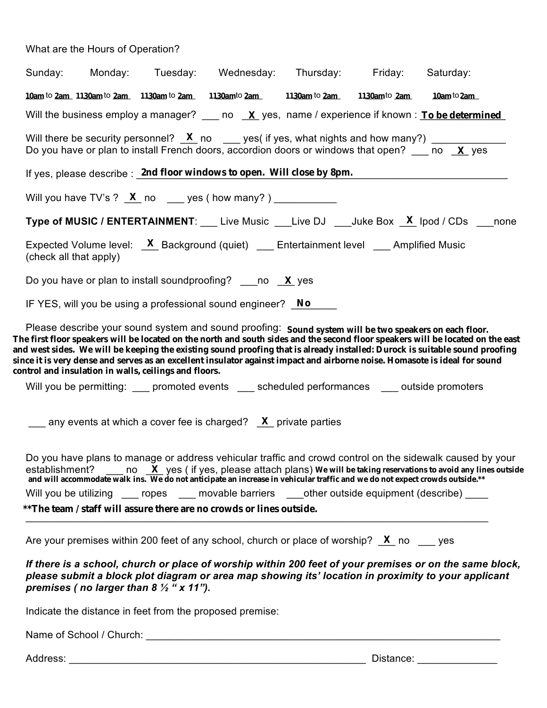What are the Hours of Operation?

|                                                                                                                                                                                                                                                                                                                                                                                                                                                                                                                                                                 | Sunday: Monday: Tuesday: Wednesday: Thursday: Friday: Saturday:                                                                                                                                                                                                 |  |  |  |  |  |
|-----------------------------------------------------------------------------------------------------------------------------------------------------------------------------------------------------------------------------------------------------------------------------------------------------------------------------------------------------------------------------------------------------------------------------------------------------------------------------------------------------------------------------------------------------------------|-----------------------------------------------------------------------------------------------------------------------------------------------------------------------------------------------------------------------------------------------------------------|--|--|--|--|--|
|                                                                                                                                                                                                                                                                                                                                                                                                                                                                                                                                                                 | 10am to 2am 1130am to 2am 1130am to 2am 1130am to 2am 1130am to 2am 1130am to 2am 10am to 2am                                                                                                                                                                   |  |  |  |  |  |
|                                                                                                                                                                                                                                                                                                                                                                                                                                                                                                                                                                 | Will the business employ a manager? $\frac{\mathbf{x}}{\mathbf{x}}$ yes, name / experience if known : <b>To be determined</b>                                                                                                                                   |  |  |  |  |  |
|                                                                                                                                                                                                                                                                                                                                                                                                                                                                                                                                                                 | Will there be security personnel? $X$ no ___ yes( if yes, what nights and how many?) _____________<br>Do you have or plan to install French doors, accordion doors or windows that open? $\frac{\mathbf{x}}{\mathbf{y}}$ no $\frac{\mathbf{x}}{\mathbf{x}}$ yes |  |  |  |  |  |
|                                                                                                                                                                                                                                                                                                                                                                                                                                                                                                                                                                 | If yes, please describe : 2nd floor windows to open. Will close by 8pm.                                                                                                                                                                                         |  |  |  |  |  |
|                                                                                                                                                                                                                                                                                                                                                                                                                                                                                                                                                                 | Will you have TV's ? $X$ no ___ yes (how many?) ___________                                                                                                                                                                                                     |  |  |  |  |  |
|                                                                                                                                                                                                                                                                                                                                                                                                                                                                                                                                                                 | <b>Type of MUSIC / ENTERTAINMENT:</b> Live Music __Live DJ ___Juke Box $X$ lpod / CDs ___none                                                                                                                                                                   |  |  |  |  |  |
|                                                                                                                                                                                                                                                                                                                                                                                                                                                                                                                                                                 | Expected Volume level: $X$ Background (quiet) __ Entertainment level __ Amplified Music<br>(check all that apply)                                                                                                                                               |  |  |  |  |  |
|                                                                                                                                                                                                                                                                                                                                                                                                                                                                                                                                                                 | Do you have or plan to install sound proofing? ____ no $X$ yes                                                                                                                                                                                                  |  |  |  |  |  |
|                                                                                                                                                                                                                                                                                                                                                                                                                                                                                                                                                                 | IF YES, will you be using a professional sound engineer? $\sqrt{N}$                                                                                                                                                                                             |  |  |  |  |  |
| Please describe your sound system and sound proofing: Sound system will be two speakers on each floor.<br>The first floor speakers will be located on the north and south sides and the second floor speakers will be located on the east<br>and west sides. We will be keeping the existing sound proofing that is already installed: Durock is suitable sound proofing<br>since it is very dense and serves as an excellent insulator against impact and airborne noise. Homasote is ideal for sound<br>control and insulation in walls, ceilings and floors. |                                                                                                                                                                                                                                                                 |  |  |  |  |  |
|                                                                                                                                                                                                                                                                                                                                                                                                                                                                                                                                                                 | Will you be permitting: ____ promoted events ____ scheduled performances ____ outside promoters                                                                                                                                                                 |  |  |  |  |  |
|                                                                                                                                                                                                                                                                                                                                                                                                                                                                                                                                                                 | any events at which a cover fee is charged? $X$ private parties                                                                                                                                                                                                 |  |  |  |  |  |
| Do you have plans to manage or address vehicular traffic and crowd control on the sidewalk caused by your<br>establishment?<br>$\frac{X}{X}$ yes (if yes, please attach plans) We will be taking reservations to avoid any lines outside<br>and will accommodate walk ins. We do not anticipate an increase in vehicular traffic and we do not expect crowds outside.**<br>Will you be utilizing ____ ropes ____ movable barriers ____other outside equipment (describe) _____                                                                                  |                                                                                                                                                                                                                                                                 |  |  |  |  |  |
| **The team / staff will assure there are no crowds or lines outside.                                                                                                                                                                                                                                                                                                                                                                                                                                                                                            |                                                                                                                                                                                                                                                                 |  |  |  |  |  |
|                                                                                                                                                                                                                                                                                                                                                                                                                                                                                                                                                                 | Are your premises within 200 feet of any school, church or place of worship? $\bm{X}$ no equals                                                                                                                                                                 |  |  |  |  |  |
|                                                                                                                                                                                                                                                                                                                                                                                                                                                                                                                                                                 | $\mathcal{A}$ and the set of the set of the set of the set of $\mathcal{A}$ and $\mathcal{A}$ and $\mathcal{A}$ and $\mathcal{A}$ are set of $\mathcal{A}$                                                                                                      |  |  |  |  |  |

*If there is a school, church or place of worship within 200 feet of your premises or on the same block, please submit a block plot diagram or area map showing its' location in proximity to your applicant premises ( no larger than 8 ½ " x 11").*

Indicate the distance in feet from the proposed premise:

Name of School / Church: \_\_\_\_\_\_\_\_\_\_\_\_\_\_\_\_\_\_\_\_\_\_\_\_\_\_\_\_\_\_\_\_\_\_\_\_\_\_\_\_\_\_\_\_\_\_\_\_\_\_\_\_\_\_\_\_\_\_\_\_\_\_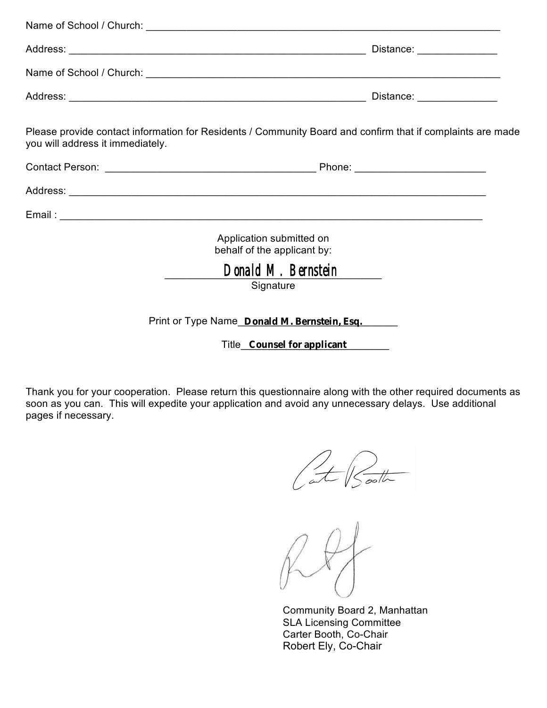| Please provide contact information for Residents / Community Board and confirm that if complaints are made<br>you will address it immediately. |  |
|------------------------------------------------------------------------------------------------------------------------------------------------|--|
|                                                                                                                                                |  |
|                                                                                                                                                |  |
|                                                                                                                                                |  |
| Application submitted on<br>behalf of the applicant by:                                                                                        |  |
| Donald M. Bernstein<br>Signature                                                                                                               |  |
| Print or Type Name_Donald M. Bernstein, Esq.                                                                                                   |  |

Title\_\_\_\_\_\_\_\_\_\_\_\_\_\_\_\_\_\_\_\_\_\_\_\_\_\_ **Counsel for applicant**

Thank you for your cooperation. Please return this questionnaire along with the other required documents as soon as you can. This will expedite your application and avoid any unnecessary delays. Use additional pages if necessary.

at Sooth

Community Board 2, Manhattan SLA Licensing Committee Carter Booth, Co-Chair Robert Ely, Co-Chair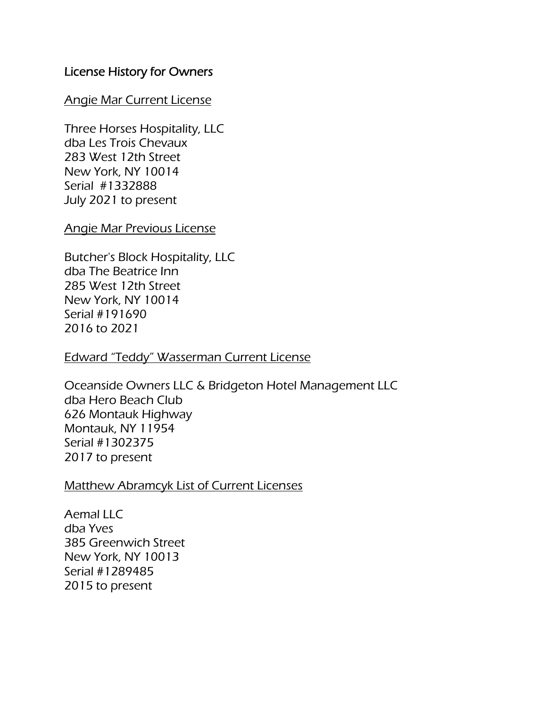## License History for Owners

### Angie Mar Current License

Three Horses Hospitality, LLC dba Les Trois Chevaux 283 West 12th Street New York, NY 10014 Serial #1332888 July 2021 to present

### Angie Mar Previous License

Butcher's Block Hospitality, LLC dba The Beatrice Inn 285 West 12th Street New York, NY 10014 Serial #191690 2016 to 2021

Edward "Teddy" Wasserman Current License

Oceanside Owners LLC & Bridgeton Hotel Management LLC dba Hero Beach Club 626 Montauk Highway Montauk, NY 11954 Serial #1302375 2017 to present

### Matthew Abramcyk List of Current Licenses

Aemal LLC dba Yves 385 Greenwich Street New York, NY 10013 Serial #1289485 2015 to present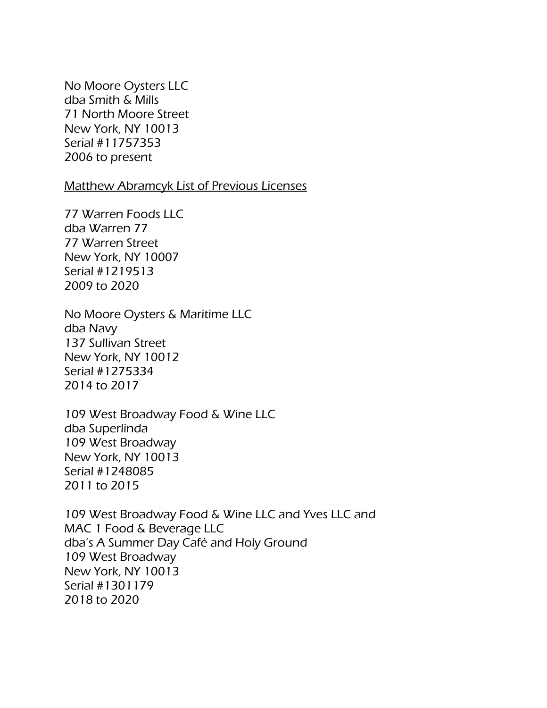No Moore Oysters LLC dba Smith & Mills 71 North Moore Street New York, NY 10013 Serial #11757353 2006 to present

### Matthew Abramcyk List of Previous Licenses

77 Warren Foods LLC dba Warren 77 77 Warren Street New York, NY 10007 Serial #1219513 2009 to 2020

No Moore Oysters & Maritime LLC dba Navy 137 Sullivan Street New York, NY 10012 Serial #1275334 2014 to 2017

109 West Broadway Food & Wine LLC dba Superlinda 109 West Broadway New York, NY 10013 Serial #1248085 2011 to 2015

109 West Broadway Food & Wine LLC and Yves LLC and MAC 1 Food & Beverage LLC dba's A Summer Day Café and Holy Ground 109 West Broadway New York, NY 10013 Serial #1301179 2018 to 2020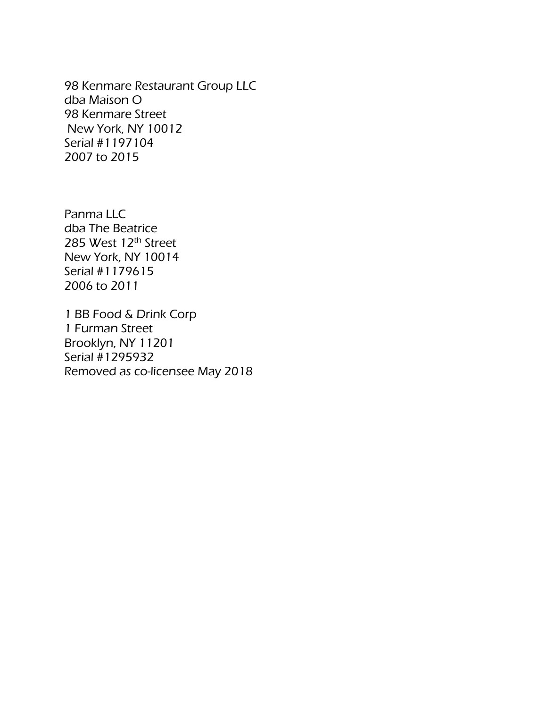98 Kenmare Restaurant Group LLC dba Maison O 98 Kenmare Street New York, NY 10012 Serial #1197104 2007 to 2015

Panma LLC dba The Beatrice 285 West 12th Street New York, NY 10014 Serial #1179615 2006 to 2011

1 BB Food & Drink Corp 1 Furman Street Brooklyn, NY 11201 Serial #1295932 Removed as co-licensee May 2018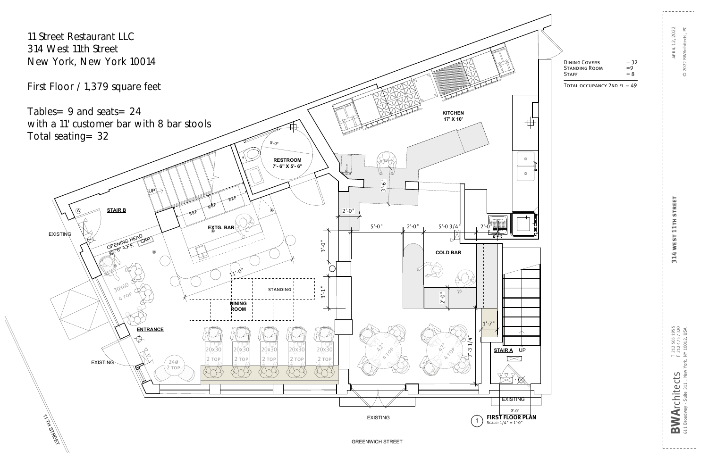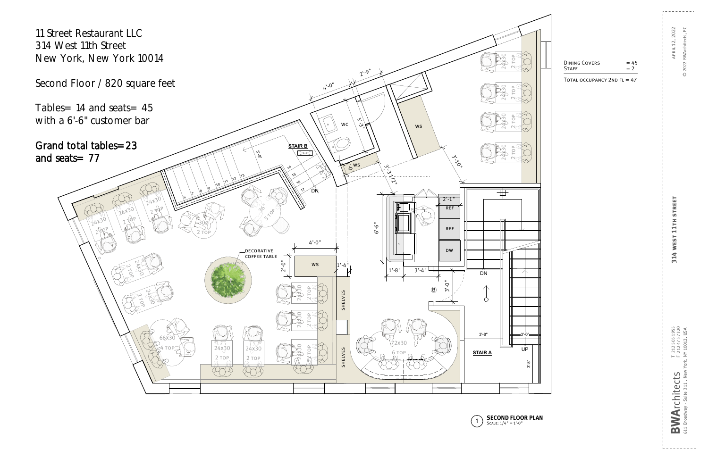